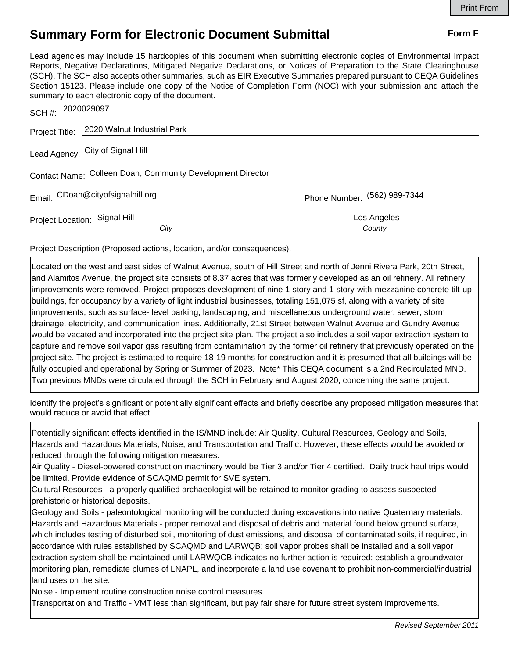## **Summary Form for Electronic Document Submittal Form F Form F**

Lead agencies may include 15 hardcopies of this document when submitting electronic copies of Environmental Impact Reports, Negative Declarations, Mitigated Negative Declarations, or Notices of Preparation to the State Clearinghouse (SCH). The SCH also accepts other summaries, such as EIR Executive Summaries prepared pursuant to CEQA Guidelines Section 15123. Please include one copy of the Notice of Completion Form (NOC) with your submission and attach the summary to each electronic copy of the document.

| SCH #: 2020029097                                          |                              |
|------------------------------------------------------------|------------------------------|
| Project Title: 2020 Walnut Industrial Park                 |                              |
| Lead Agency: City of Signal Hill                           |                              |
| Contact Name: Colleen Doan, Community Development Director |                              |
| Email: CDoan@cityofsignalhill.org                          | Phone Number: (562) 989-7344 |
| Project Location: Signal Hill                              | Los Angeles                  |
| City                                                       | County                       |

Project Description (Proposed actions, location, and/or consequences).

Located on the west and east sides of Walnut Avenue, south of Hill Street and north of Jenni Rivera Park, 20th Street, and Alamitos Avenue, the project site consists of 8.37 acres that was formerly developed as an oil refinery. All refinery improvements were removed. Project proposes development of nine 1-story and 1-story-with-mezzanine concrete tilt-up buildings, for occupancy by a variety of light industrial businesses, totaling 151,075 sf, along with a variety of site improvements, such as surface- level parking, landscaping, and miscellaneous underground water, sewer, storm drainage, electricity, and communication lines. Additionally, 21st Street between Walnut Avenue and Gundry Avenue would be vacated and incorporated into the project site plan. The project also includes a soil vapor extraction system to capture and remove soil vapor gas resulting from contamination by the former oil refinery that previously operated on the project site. The project is estimated to require 18-19 months for construction and it is presumed that all buildings will be fully occupied and operational by Spring or Summer of 2023. Note\* This CEQA document is a 2nd Recirculated MND. Two previous MNDs were circulated through the SCH in February and August 2020, concerning the same project.

Identify the project's significant or potentially significant effects and briefly describe any proposed mitigation measures that would reduce or avoid that effect.

Potentially significant effects identified in the IS/MND include: Air Quality, Cultural Resources, Geology and Soils, Hazards and Hazardous Materials, Noise, and Transportation and Traffic. However, these effects would be avoided or reduced through the following mitigation measures:

Air Quality - Diesel-powered construction machinery would be Tier 3 and/or Tier 4 certified. Daily truck haul trips would be limited. Provide evidence of SCAQMD permit for SVE system.

Cultural Resources - a properly qualified archaeologist will be retained to monitor grading to assess suspected prehistoric or historical deposits.

Geology and Soils - paleontological monitoring will be conducted during excavations into native Quaternary materials. Hazards and Hazardous Materials - proper removal and disposal of debris and material found below ground surface, which includes testing of disturbed soil, monitoring of dust emissions, and disposal of contaminated soils, if required, in accordance with rules established by SCAQMD and LARWQB; soil vapor probes shall be installed and a soil vapor extraction system shall be maintained until LARWQCB indicates no further action is required; establish a groundwater monitoring plan, remediate plumes of LNAPL, and incorporate a land use covenant to prohibit non-commercial/industrial land uses on the site.

Noise - Implement routine construction noise control measures.

Transportation and Traffic - VMT less than significant, but pay fair share for future street system improvements.